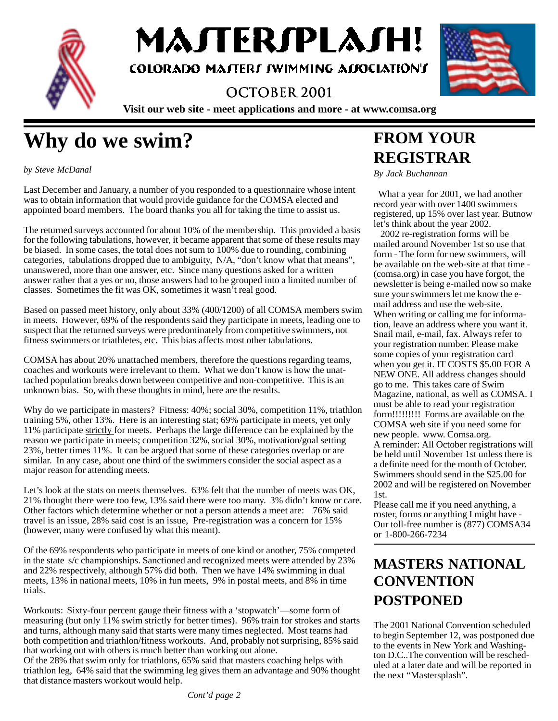

МАЛЕRIPLАJН!

COLORADO MATTERI IWIMMING ALIOCIATION'I

### OCTOBER 2001



**Visit our web site - meet applications and more - at www.comsa.org**

# **Why do we swim?**

*by Steve McDanal*

Last December and January, a number of you responded to a questionnaire whose intent was to obtain information that would provide guidance for the COMSA elected and appointed board members. The board thanks you all for taking the time to assist us.

The returned surveys accounted for about 10% of the membership. This provided a basis for the following tabulations, however, it became apparent that some of these results may be biased. In some cases, the total does not sum to 100% due to rounding, combining categories, tabulations dropped due to ambiguity, N/A, "don't know what that means", unanswered, more than one answer, etc. Since many questions asked for a written answer rather that a yes or no, those answers had to be grouped into a limited number of classes. Sometimes the fit was OK, sometimes it wasn't real good.

Based on passed meet history, only about 33% (400/1200) of all COMSA members swim in meets. However, 69% of the respondents said they participate in meets, leading one to suspect that the returned surveys were predominately from competitive swimmers, not fitness swimmers or triathletes, etc. This bias affects most other tabulations.

COMSA has about 20% unattached members, therefore the questions regarding teams, coaches and workouts were irrelevant to them. What we don't know is how the unattached population breaks down between competitive and non-competitive. This is an unknown bias. So, with these thoughts in mind, here are the results.

Why do we participate in masters? Fitness: 40%; social 30%, competition 11%, triathlon training 5%, other 13%. Here is an interesting stat; 69% participate in meets, yet only 11% participate strictly for meets. Perhaps the large difference can be explained by the reason we participate in meets; competition 32%, social 30%, motivation/goal setting 23%, better times 11%. It can be argued that some of these categories overlap or are similar. In any case, about one third of the swimmers consider the social aspect as a major reason for attending meets.

Let's look at the stats on meets themselves. 63% felt that the number of meets was OK, 21% thought there were too few, 13% said there were too many. 3% didn't know or care. Other factors which determine whether or not a person attends a meet are: 76% said travel is an issue, 28% said cost is an issue, Pre-registration was a concern for 15% (however, many were confused by what this meant).

Of the 69% respondents who participate in meets of one kind or another, 75% competed in the state s/c championships. Sanctioned and recognized meets were attended by 23% and 22% respectively, although 57% did both. Then we have 14% swimming in dual meets, 13% in national meets, 10% in fun meets, 9% in postal meets, and 8% in time trials.

Workouts: Sixty-four percent gauge their fitness with a 'stopwatch'—some form of measuring (but only 11% swim strictly for better times). 96% train for strokes and starts and turns, although many said that starts were many times neglected. Most teams had both competition and triathlon/fitness workouts. And, probably not surprising, 85% said that working out with others is much better than working out alone.

Of the 28% that swim only for triathlons, 65% said that masters coaching helps with triathlon leg, 64% said that the swimming leg gives them an advantage and 90% thought that distance masters workout would help.

# **FROM YOUR REGISTRAR**

*By Jack Buchannan*

 What a year for 2001, we had another record year with over 1400 swimmers registered, up 15% over last year. Butnow let's think about the year 2002.

 2002 re-registration forms will be mailed around November 1st so use that form - The form for new swimmers, will be available on the web-site at that time - (comsa.org) in case you have forgot, the newsletter is being e-mailed now so make sure your swimmers let me know the email address and use the web-site. When writing or calling me for information, leave an address where you want it. Snail mail, e-mail, fax. Always refer to your registration number. Please make some copies of your registration card when you get it. IT COSTS \$5.00 FOR A NEW ONE. All address changes should go to me. This takes care of Swim Magazine, national, as well as COMSA. I must be able to read your registration form!!!!!!!!! Forms are available on the COMSA web site if you need some for new people. www. Comsa.org. A reminder: All October registrations will be held until November 1st unless there is a definite need for the month of October. Swimmers should send in the \$25.00 for 2002 and will be registered on November 1st.

Please call me if you need anything, a roster, forms or anything I might have - Our toll-free number is (877) COMSA34 or 1-800-266-7234

### **MASTERS NATIONAL CONVENTION POSTPONED**

The 2001 National Convention scheduled to begin September 12, was postponed due to the events in New York and Washington D.C..The convention will be rescheduled at a later date and will be reported in the next "Mastersplash".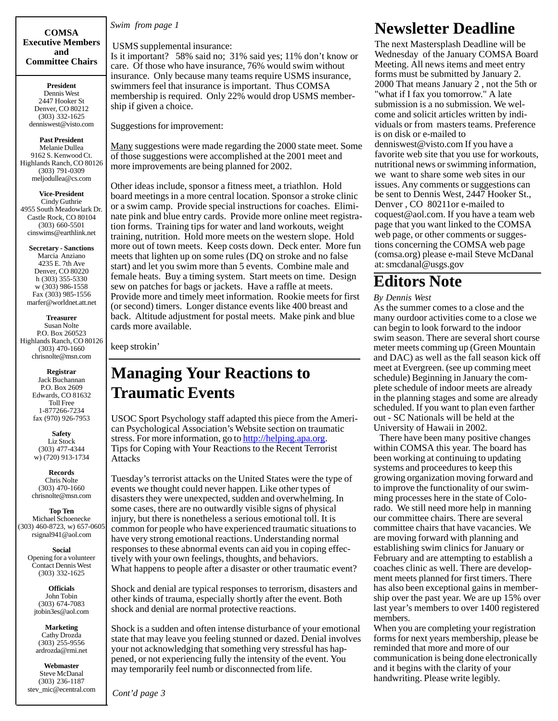**Executive Members and Committee Chairs**

**President** Dennis West 2447 Hooker St Denver, CO 80212 (303) 332-1625 denniswest@visto.com

#### **Past President**

Melanie Dullea 9162 S. Kenwood Ct. Highlands Ranch, CO 80126 (303) 791-0309 meljodullea@cs.com

**Vice-President** Cindy Guthrie 4955 South Meadowlark Dr. Castle Rock, CO 80104 (303) 660-5501 cinswims@earthlink.net

**Secretary - Sanctions** Marcia Anziano 4235 E. 7th Ave Denver, CO 80220 h (303) 355-5330 w (303) 986-1558 Fax (303) 985-1556 marfer@worldnet.att.net

**Treasurer** Susan Nolte P.O. Box 260523 Highlands Ranch, CO 80126 (303) 470-1660 chrisnolte@msn.com

> **Registrar** Jack Buchannan P.O. Box 2609 Edwards, CO 81632 Toll Free 1-877266-7234 fax (970) 926-7953

**Safety** Liz Stock (303) 477-4344 w) (720) 913-1734

**Records** Chris Nolte (303) 470-1660 chrisnolte@msn.com

**Top Ten** Michael Schoenecke (303) 460-8723, w) 657-0605 rsignal941@aol.com

> **Social** Opening for a volunteer Contact Dennis West (303) 332-1625

**Officials** John Tobin (303) 674-7083 jtobin3es@aol.com

**Marketing** Cathy Drozda (303) 255-9556 ardrozda@rmi.net

**Webmaster** Steve McDanal (303) 236-1187 stev\_mic@ecentral.com

*Swim from page 1* **COMSA**

USMS supplemental insurance:

Is it important? 58% said no; 31% said yes; 11% don't know or care. Of those who have insurance, 76% would swim without insurance. Only because many teams require USMS insurance, swimmers feel that insurance is important. Thus COMSA membership is required. Only 22% would drop USMS membership if given a choice.

Suggestions for improvement:

Many suggestions were made regarding the 2000 state meet. Some of those suggestions were accomplished at the 2001 meet and more improvements are being planned for 2002.

Other ideas include, sponsor a fitness meet, a triathlon. Hold board meetings in a more central location. Sponsor a stroke clinic or a swim camp. Provide special instructions for coaches. Eliminate pink and blue entry cards. Provide more online meet registration forms. Training tips for water and land workouts, weight training, nutrition. Hold more meets on the western slope. Hold more out of town meets. Keep costs down. Deck enter. More fun meets that lighten up on some rules (DQ on stroke and no false start) and let you swim more than 5 events. Combine male and female heats. Buy a timing system. Start meets on time. Design sew on patches for bags or jackets. Have a raffle at meets. Provide more and timely meet information. Rookie meets for first (or second) timers. Longer distance events like 400 breast and back. Altitude adjustment for postal meets. Make pink and blue cards more available.

keep strokin'

### **Managing Your Reactions to Traumatic Events**

USOC Sport Psychology staff adapted this piece from the American Psychological Association's Website section on traumatic stress. For more information, go to **http://helping.apa.org**. Tips for Coping with Your Reactions to the Recent Terrorist Attacks

Tuesday's terrorist attacks on the United States were the type of events we thought could never happen. Like other types of disasters they were unexpected, sudden and overwhelming. In some cases, there are no outwardly visible signs of physical injury, but there is nonetheless a serious emotional toll. It is common for people who have experienced traumatic situations to have very strong emotional reactions. Understanding normal responses to these abnormal events can aid you in coping effectively with your own feelings, thoughts, and behaviors. What happens to people after a disaster or other traumatic event?

Shock and denial are typical responses to terrorism, disasters and other kinds of trauma, especially shortly after the event. Both shock and denial are normal protective reactions.

Shock is a sudden and often intense disturbance of your emotional state that may leave you feeling stunned or dazed. Denial involves your not acknowledging that something very stressful has happened, or not experiencing fully the intensity of the event. You may temporarily feel numb or disconnected from life.

# **Newsletter Deadline**

The next Mastersplash Deadline will be Wednesday of the January COMSA Board Meeting. All news items and meet entry forms must be submitted by January 2. 2000 That means January 2 , not the 5th or "what if I fax you tomorrow." A late submission is a no submission. We welcome and solicit articles written by individuals or from masters teams. Preference is on disk or e-mailed to denniswest@visto.com If you have a favorite web site that you use for workouts, nutritional news or swimming information, we want to share some web sites in our issues. Any comments or suggestions can be sent to Dennis West, 2447 Hooker St., Denver , CO 80211or e-mailed to coquest@aol.com. If you have a team web page that you want linked to the COMSA web page, or other comments or suggestions concerning the COMSA web page (comsa.org) please e-mail Steve McDanal at: smcdanal@usgs.gov

### **Editors Note**

*By Dennis West*

As the summer comes to a close and the many ourdoor activities come to a close we can begin to look forward to the indoor swim season. There are several short course meter meets comming up (Green Mountain and DAC) as well as the fall season kick off meet at Evergreen. (see up comming meet schedule) Beginning in January the complete schedule of indoor meets are already in the planning stages and some are already scheduled. If you want to plan even farther out - SC Nationals will be held at the University of Hawaii in 2002.

 There have been many positive changes within COMSA this year. The board has been working at continuing to updating systems and proceedures to keep this growing organization moving forward and to improve the functionality of our swimming processes here in the state of Colorado. We still need more help in manning our committee chairs. There are several committee chairs that have vacancies. We are moving forward with planning and establishing swim clinics for January or February and are attempting to establish a coaches clinic as well. There are development meets planned for first timers. There has also been exceptional gains in membership over the past year. We are up 15% over last year's members to over 1400 registered members.

When you are completing your registration forms for next years membership, please be reminded that more and more of our communication is being done electronically and it begins with the clarity of your handwriting. Please write legibly.

*Cont'd page 3*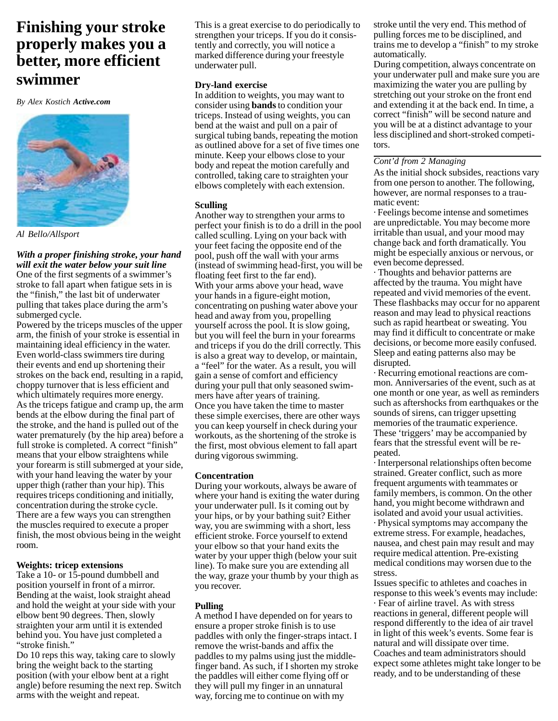### **Finishing your stroke properly makes you a better, more efficient swimmer**

*By Alex Kostich Active.com* 



*Al Bello/Allsport*

#### *With a proper finishing stroke, your hand will exit the water below your suit line*

One of the first segments of a swimmer's stroke to fall apart when fatigue sets in is the "finish," the last bit of underwater pulling that takes place during the arm's submerged cycle.

Powered by the triceps muscles of the upper arm, the finish of your stroke is essential in maintaining ideal efficiency in the water. Even world-class swimmers tire during their events and end up shortening their strokes on the back end, resulting in a rapid, choppy turnover that is less efficient and which ultimately requires more energy. As the triceps fatigue and cramp up, the arm bends at the elbow during the final part of the stroke, and the hand is pulled out of the water prematurely (by the hip area) before a full stroke is completed. A correct "finish" means that your elbow straightens while your forearm is still submerged at your side, with your hand leaving the water by your upper thigh (rather than your hip). This requires triceps conditioning and initially, concentration during the stroke cycle. There are a few ways you can strengthen the muscles required to execute a proper finish, the most obvious being in the weight room.

#### **Weights: tricep extensions**

Take a 10- or 15-pound dumbbell and position yourself in front of a mirror. Bending at the waist, look straight ahead and hold the weight at your side with your elbow bent 90 degrees. Then, slowly straighten your arm until it is extended behind you. You have just completed a "stroke finish."

Do 10 reps this way, taking care to slowly bring the weight back to the starting position (with your elbow bent at a right angle) before resuming the next rep. Switch arms with the weight and repeat.

This is a great exercise to do periodically to strengthen your triceps. If you do it consistently and correctly, you will notice a marked difference during your freestyle underwater pull.

#### **Dry-land exercise**

In addition to weights, you may want to consider using **bands** to condition your triceps. Instead of using weights, you can bend at the waist and pull on a pair of surgical tubing bands, repeating the motion as outlined above for a set of five times one minute. Keep your elbows close to your body and repeat the motion carefully and controlled, taking care to straighten your elbows completely with each extension.

#### **Sculling**

Another way to strengthen your arms to perfect your finish is to do a drill in the pool called sculling. Lying on your back with your feet facing the opposite end of the pool, push off the wall with your arms (instead of swimming head-first, you will be floating feet first to the far end). With your arms above your head, wave your hands in a figure-eight motion, concentrating on pushing water above your head and away from you, propelling yourself across the pool. It is slow going, but you will feel the burn in your forearms and triceps if you do the drill correctly. This is also a great way to develop, or maintain, a "feel" for the water. As a result, you will gain a sense of comfort and efficiency during your pull that only seasoned swimmers have after years of training. Once you have taken the time to master these simple exercises, there are other ways you can keep yourself in check during your workouts, as the shortening of the stroke is the first, most obvious element to fall apart during vigorous swimming.

#### **Concentration**

During your workouts, always be aware of where your hand is exiting the water during your underwater pull. Is it coming out by your hips, or by your bathing suit? Either way, you are swimming with a short, less efficient stroke. Force yourself to extend your elbow so that your hand exits the water by your upper thigh (below your suit line). To make sure you are extending all the way, graze your thumb by your thigh as you recover.

#### **Pulling**

A method I have depended on for years to ensure a proper stroke finish is to use paddles with only the finger-straps intact. I remove the wrist-bands and affix the paddles to my palms using just the middlefinger band. As such, if I shorten my stroke the paddles will either come flying off or they will pull my finger in an unnatural way, forcing me to continue on with my

stroke until the very end. This method of pulling forces me to be disciplined, and trains me to develop a "finish" to my stroke automatically.

During competition, always concentrate on your underwater pull and make sure you are maximizing the water you are pulling by stretching out your stroke on the front end and extending it at the back end. In time, a correct "finish" will be second nature and you will be at a distinct advantage to your less disciplined and short-stroked competitors.

#### *Cont'd from 2 Managing*

As the initial shock subsides, reactions vary from one person to another. The following, however, are normal responses to a traumatic event:

· Feelings become intense and sometimes are unpredictable. You may become more irritable than usual, and your mood may change back and forth dramatically. You might be especially anxious or nervous, or even become depressed.

· Thoughts and behavior patterns are affected by the trauma. You might have repeated and vivid memories of the event. These flashbacks may occur for no apparent reason and may lead to physical reactions such as rapid heartbeat or sweating. You may find it difficult to concentrate or make decisions, or become more easily confused. Sleep and eating patterns also may be disrupted.

· Recurring emotional reactions are common. Anniversaries of the event, such as at one month or one year, as well as reminders such as aftershocks from earthquakes or the sounds of sirens, can trigger upsetting memories of the traumatic experience. These 'triggers' may be accompanied by fears that the stressful event will be repeated.

· Interpersonal relationships often become strained. Greater conflict, such as more frequent arguments with teammates or family members, is common. On the other hand, you might become withdrawn and isolated and avoid your usual activities. · Physical symptoms may accompany the extreme stress. For example, headaches, nausea, and chest pain may result and may require medical attention. Pre-existing medical conditions may worsen due to the stress.

Issues specific to athletes and coaches in response to this week's events may include: · Fear of airline travel. As with stress reactions in general, different people will respond differently to the idea of air travel in light of this week's events. Some fear is natural and will dissipate over time. Coaches and team administrators should expect some athletes might take longer to be ready, and to be understanding of these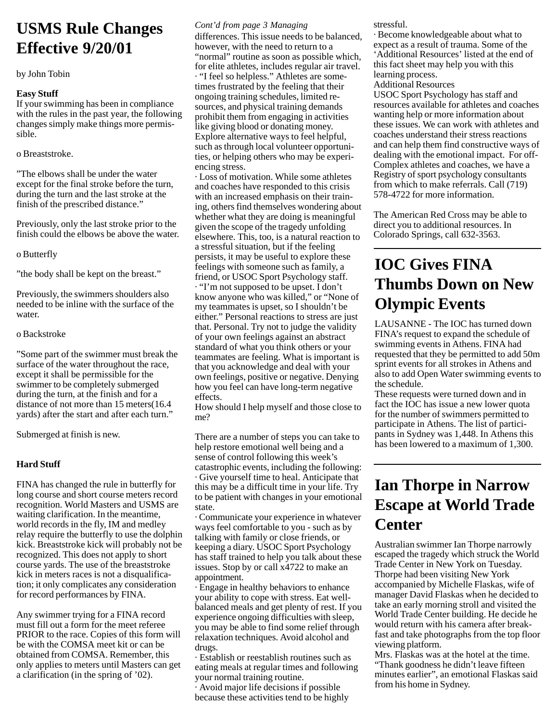# **USMS Rule Changes Effective 9/20/01**

#### by John Tobin

#### **Easy Stuff**

If your swimming has been in compliance with the rules in the past year, the following changes simply make things more permissible.

o Breaststroke.

"The elbows shall be under the water except for the final stroke before the turn, during the turn and the last stroke at the finish of the prescribed distance."

Previously, only the last stroke prior to the finish could the elbows be above the water.

o Butterfly

"the body shall be kept on the breast."

Previously, the swimmers shoulders also needed to be inline with the surface of the water.

#### o Backstroke

"Some part of the swimmer must break the surface of the water throughout the race, except it shall be permissible for the swimmer to be completely submerged during the turn, at the finish and for a distance of not more than 15 meters(16.4 yards) after the start and after each turn."

Submerged at finish is new.

#### **Hard Stuff**

FINA has changed the rule in butterfly for long course and short course meters record recognition. World Masters and USMS are waiting clarification. In the meantime, world records in the fly, IM and medley relay require the butterfly to use the dolphin kick. Breaststroke kick will probably not be recognized. This does not apply to short course yards. The use of the breaststroke kick in meters races is not a disqualification; it only complicates any consideration for record performances by FINA.

Any swimmer trying for a FINA record must fill out a form for the meet referee PRIOR to the race. Copies of this form will be with the COMSA meet kit or can be obtained from COMSA. Remember, this only applies to meters until Masters can get a clarification (in the spring of '02).

#### *Cont'd from page 3 Managing*

differences. This issue needs to be balanced, however, with the need to return to a "normal" routine as soon as possible which, for elite athletes, includes regular air travel. · "I feel so helpless." Athletes are sometimes frustrated by the feeling that their ongoing training schedules, limited resources, and physical training demands prohibit them from engaging in activities like giving blood or donating money. Explore alternative ways to feel helpful, such as through local volunteer opportunities, or helping others who may be experiencing stress.

· Loss of motivation. While some athletes and coaches have responded to this crisis with an increased emphasis on their training, others find themselves wondering about whether what they are doing is meaningful given the scope of the tragedy unfolding elsewhere. This, too, is a natural reaction to a stressful situation, but if the feeling persists, it may be useful to explore these feelings with someone such as family, a friend, or USOC Sport Psychology staff. · "I'm not supposed to be upset. I don't know anyone who was killed," or "None of my teammates is upset, so I shouldn't be either." Personal reactions to stress are just that. Personal. Try not to judge the validity of your own feelings against an abstract standard of what you think others or your teammates are feeling. What is important is that you acknowledge and deal with your own feelings, positive or negative. Denying how you feel can have long-term negative effects.

How should I help myself and those close to me?

There are a number of steps you can take to help restore emotional well being and a sense of control following this week's catastrophic events, including the following: · Give yourself time to heal. Anticipate that this may be a difficult time in your life. Try to be patient with changes in your emotional state.

· Communicate your experience in whatever ways feel comfortable to you - such as by talking with family or close friends, or keeping a diary. USOC Sport Psychology has staff trained to help you talk about these issues. Stop by or call x4722 to make an appointment.

· Engage in healthy behaviors to enhance your ability to cope with stress. Eat wellbalanced meals and get plenty of rest. If you experience ongoing difficulties with sleep, you may be able to find some relief through relaxation techniques. Avoid alcohol and drugs.

· Establish or reestablish routines such as eating meals at regular times and following your normal training routine.

· Avoid major life decisions if possible because these activities tend to be highly stressful.

· Become knowledgeable about what to expect as a result of trauma. Some of the 'Additional Resources' listed at the end of this fact sheet may help you with this learning process.

Additional Resources USOC Sport Psychology has staff and resources available for athletes and coaches wanting help or more information about these issues. We can work with athletes and coaches understand their stress reactions and can help them find constructive ways of dealing with the emotional impact. For off-Complex athletes and coaches, we have a Registry of sport psychology consultants from which to make referrals. Call (719) 578-4722 for more information.

The American Red Cross may be able to direct you to additional resources. In Colorado Springs, call 632-3563.

# **IOC Gives FINA Thumbs Down on New Olympic Events**

LAUSANNE - The IOC has turned down FINA's request to expand the schedule of swimming events in Athens. FINA had requested that they be permitted to add 50m sprint events for all strokes in Athens and also to add Open Water swimming events to the schedule.

These requests were turned down and in fact the IOC has issue a new lower quota for the number of swimmers permitted to participate in Athens. The list of participants in Sydney was 1,448. In Athens this has been lowered to a maximum of 1,300.

# **Ian Thorpe in Narrow Escape at World Trade Center**

Australian swimmer Ian Thorpe narrowly escaped the tragedy which struck the World Trade Center in New York on Tuesday. Thorpe had been visiting New York accompanied by Michelle Flaskas, wife of manager David Flaskas when he decided to take an early morning stroll and visited the World Trade Center building. He decide he would return with his camera after breakfast and take photographs from the top floor viewing platform.

Mrs. Flaskas was at the hotel at the time. "Thank goodness he didn't leave fifteen minutes earlier", an emotional Flaskas said from his home in Sydney.